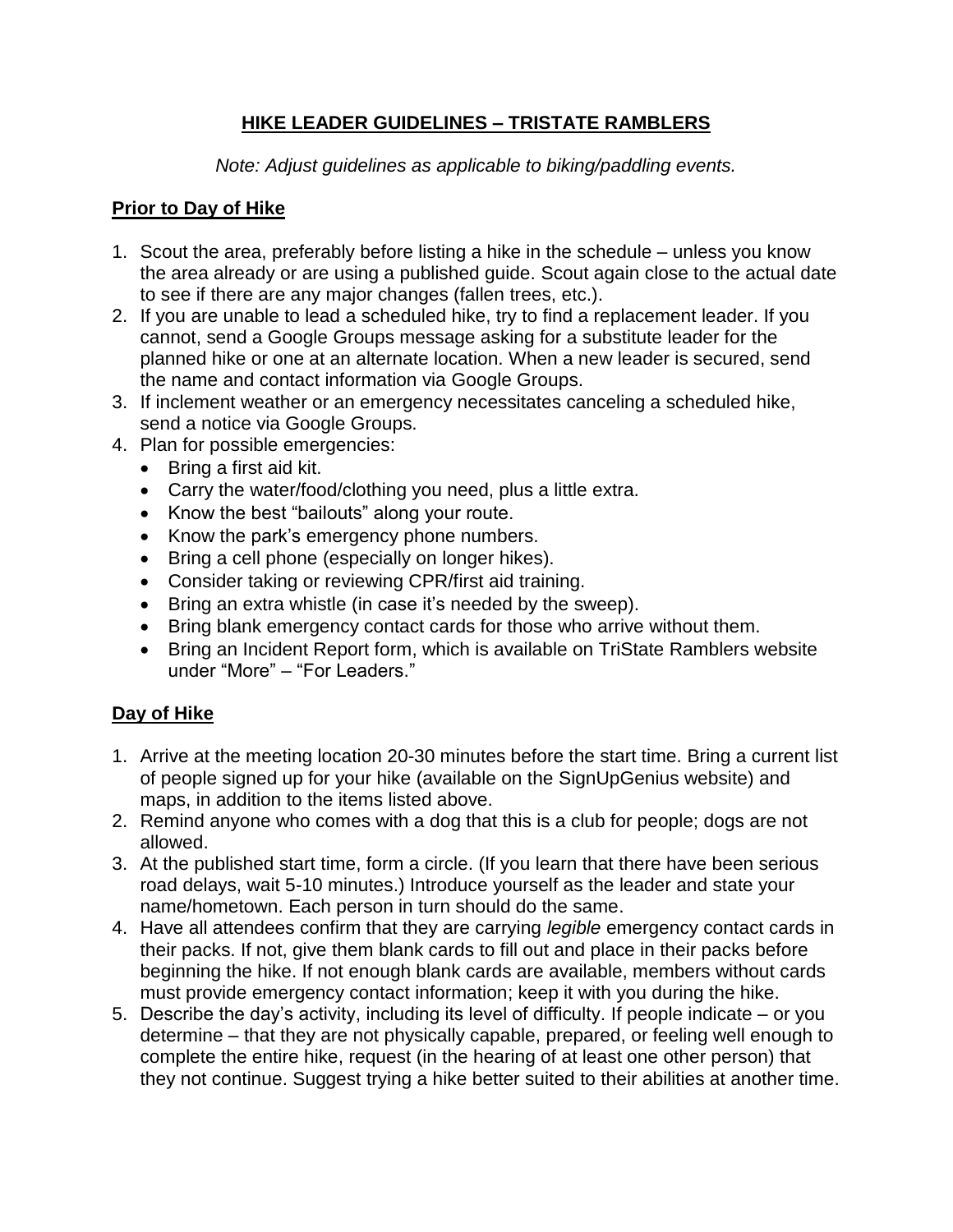#### **HIKE LEADER GUIDELINES – TRISTATE RAMBLERS**

*Note: Adjust guidelines as applicable to biking/paddling events.*

#### **Prior to Day of Hike**

- 1. Scout the area, preferably before listing a hike in the schedule unless you know the area already or are using a published guide. Scout again close to the actual date to see if there are any major changes (fallen trees, etc.).
- 2. If you are unable to lead a scheduled hike, try to find a replacement leader. If you cannot, send a Google Groups message asking for a substitute leader for the planned hike or one at an alternate location. When a new leader is secured, send the name and contact information via Google Groups.
- 3. If inclement weather or an emergency necessitates canceling a scheduled hike, send a notice via Google Groups.
- 4. Plan for possible emergencies:
	- Bring a first aid kit.
	- Carry the water/food/clothing you need, plus a little extra.
	- Know the best "bailouts" along your route.
	- Know the park's emergency phone numbers.
	- Bring a cell phone (especially on longer hikes).
	- Consider taking or reviewing CPR/first aid training.
	- Bring an extra whistle (in case it's needed by the sweep).
	- Bring blank emergency contact cards for those who arrive without them.
	- Bring an Incident Report form, which is available on TriState Ramblers website under "More" – "For Leaders."

## **Day of Hike**

- 1. Arrive at the meeting location 20-30 minutes before the start time. Bring a current list of people signed up for your hike (available on the SignUpGenius website) and maps, in addition to the items listed above.
- 2. Remind anyone who comes with a dog that this is a club for people; dogs are not allowed.
- 3. At the published start time, form a circle. (If you learn that there have been serious road delays, wait 5-10 minutes.) Introduce yourself as the leader and state your name/hometown. Each person in turn should do the same.
- 4. Have all attendees confirm that they are carrying *legible* emergency contact cards in their packs. If not, give them blank cards to fill out and place in their packs before beginning the hike. If not enough blank cards are available, members without cards must provide emergency contact information; keep it with you during the hike.
- 5. Describe the day's activity, including its level of difficulty. If people indicate or you determine – that they are not physically capable, prepared, or feeling well enough to complete the entire hike, request (in the hearing of at least one other person) that they not continue. Suggest trying a hike better suited to their abilities at another time.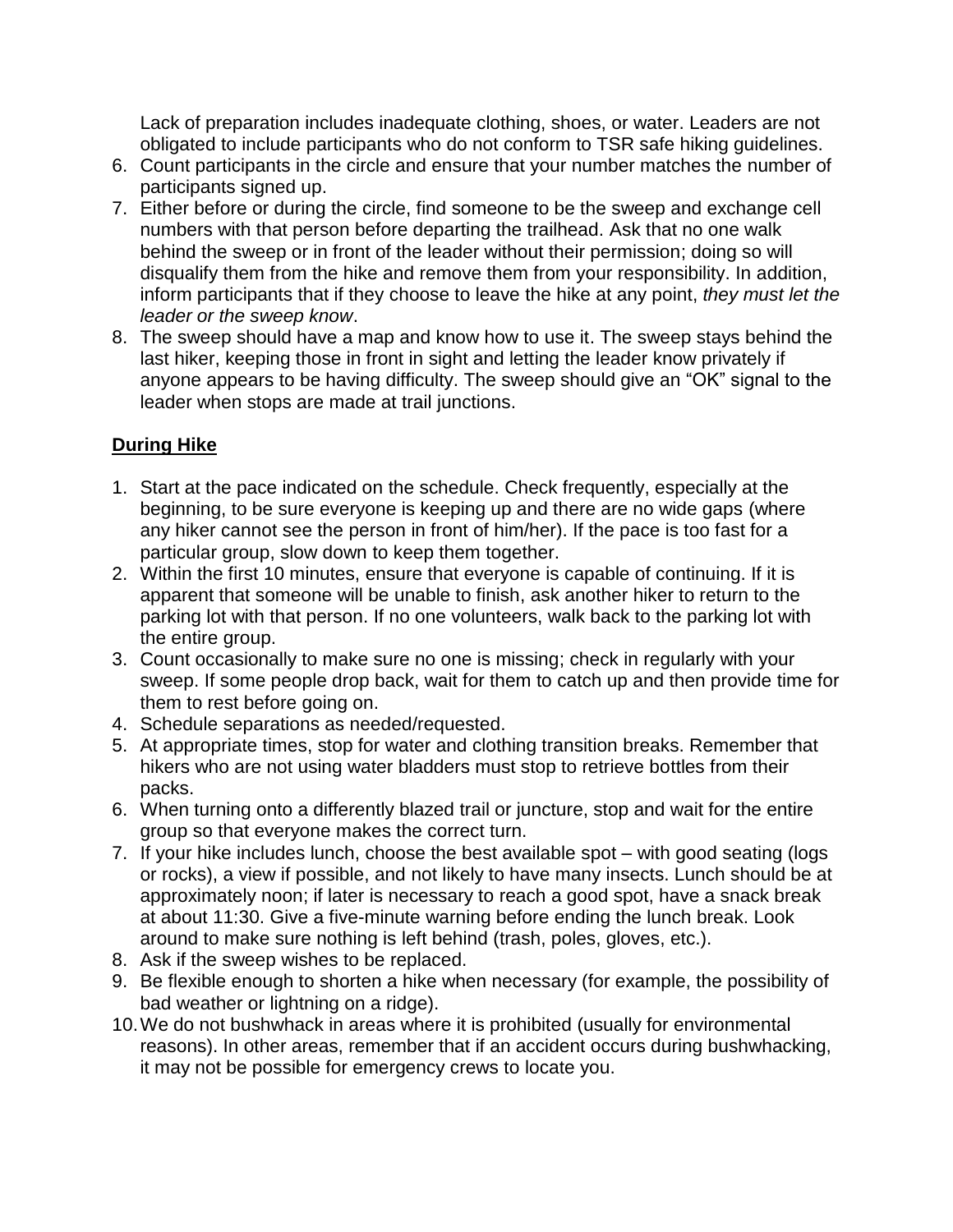Lack of preparation includes inadequate clothing, shoes, or water. Leaders are not obligated to include participants who do not conform to TSR safe hiking guidelines.

- 6. Count participants in the circle and ensure that your number matches the number of participants signed up.
- 7. Either before or during the circle, find someone to be the sweep and exchange cell numbers with that person before departing the trailhead. Ask that no one walk behind the sweep or in front of the leader without their permission; doing so will disqualify them from the hike and remove them from your responsibility. In addition, inform participants that if they choose to leave the hike at any point, *they must let the leader or the sweep know*.
- 8. The sweep should have a map and know how to use it. The sweep stays behind the last hiker, keeping those in front in sight and letting the leader know privately if anyone appears to be having difficulty. The sweep should give an "OK" signal to the leader when stops are made at trail junctions.

## **During Hike**

- 1. Start at the pace indicated on the schedule. Check frequently, especially at the beginning, to be sure everyone is keeping up and there are no wide gaps (where any hiker cannot see the person in front of him/her). If the pace is too fast for a particular group, slow down to keep them together.
- 2. Within the first 10 minutes, ensure that everyone is capable of continuing. If it is apparent that someone will be unable to finish, ask another hiker to return to the parking lot with that person. If no one volunteers, walk back to the parking lot with the entire group.
- 3. Count occasionally to make sure no one is missing; check in regularly with your sweep. If some people drop back, wait for them to catch up and then provide time for them to rest before going on.
- 4. Schedule separations as needed/requested.
- 5. At appropriate times, stop for water and clothing transition breaks. Remember that hikers who are not using water bladders must stop to retrieve bottles from their packs.
- 6. When turning onto a differently blazed trail or juncture, stop and wait for the entire group so that everyone makes the correct turn.
- 7. If your hike includes lunch, choose the best available spot with good seating (logs or rocks), a view if possible, and not likely to have many insects. Lunch should be at approximately noon; if later is necessary to reach a good spot, have a snack break at about 11:30. Give a five-minute warning before ending the lunch break. Look around to make sure nothing is left behind (trash, poles, gloves, etc.).
- 8. Ask if the sweep wishes to be replaced.
- 9. Be flexible enough to shorten a hike when necessary (for example, the possibility of bad weather or lightning on a ridge).
- 10.We do not bushwhack in areas where it is prohibited (usually for environmental reasons). In other areas, remember that if an accident occurs during bushwhacking, it may not be possible for emergency crews to locate you.